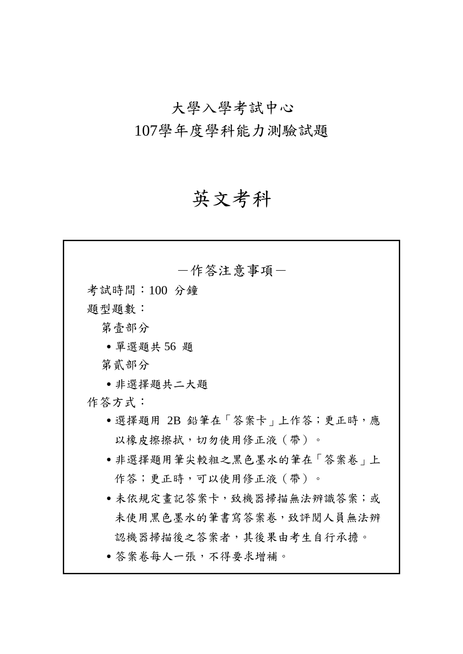# 大學入學考試中心 107學年度學科能力測驗試題

# 英文考科

| 一作答注意事項-                   |
|----------------------------|
| 考試時間:100 分鐘                |
| 題型題數:                      |
| 第壹部分                       |
| • 單選題共 56 題                |
| 第貳部分                       |
| ●非選擇題共二大題                  |
| 作答方式:                      |
| •選擇題用 2B 鉛筆在「答案卡」上作答;更正時,應 |
| 以橡皮擦擦拭,切勿使用修正液(帶)。         |
| • 非選擇題用筆尖較粗之黑色墨水的筆在「答案卷」上  |
| 作答;更正時,可以使用修正液 ( 帶 ) 。     |
| • 未依規定畫記答案卡,致機器掃描無法辨識答案;或  |
| 未使用黑色墨水的筆書寫答案卷,致評閱人員無法辨    |
| 認機器掃描後之答案者,其後果由考生自行承擔。     |
| • 答案卷每人一張,不得要求增補。          |
|                            |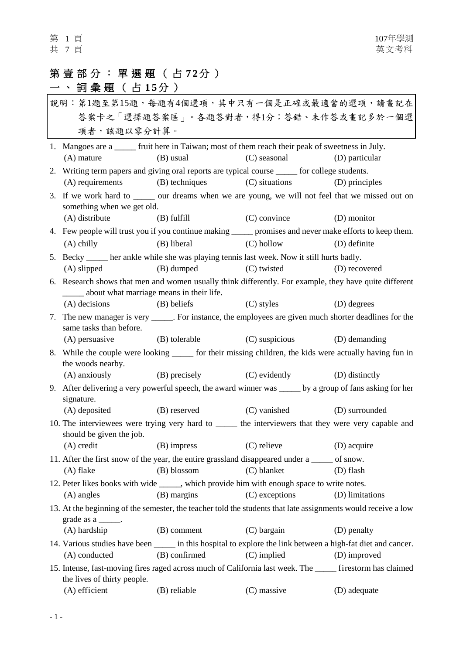# 第壹部分:單選題 ( 占 **7 2** 分 )

# 一、詞彙題 (占15分)

|                                                                                                                                          | 說明:第1題至第15題,每題有4個選項,其中只有一個是正確或最適當的選項,請畫記在                                                                                             |               |                                           |                 |  |
|------------------------------------------------------------------------------------------------------------------------------------------|---------------------------------------------------------------------------------------------------------------------------------------|---------------|-------------------------------------------|-----------------|--|
|                                                                                                                                          | 答案卡之「選擇題答案區」。各題答對者,得1分;答錯、未作答或畫記多於一個選                                                                                                 |               |                                           |                 |  |
|                                                                                                                                          | 項者,該題以零分計算。                                                                                                                           |               |                                           |                 |  |
|                                                                                                                                          | 1. Mangoes are a ______ fruit here in Taiwan; most of them reach their peak of sweetness in July.                                     |               |                                           |                 |  |
|                                                                                                                                          | $(A)$ mature                                                                                                                          | (B) usual     | (C) seasonal                              | (D) particular  |  |
|                                                                                                                                          | 2. Writing term papers and giving oral reports are typical course _____ for college students.                                         |               |                                           |                 |  |
|                                                                                                                                          | (A) requirements (B) techniques                                                                                                       |               | (C) situations                            | (D) principles  |  |
| 3. If we work hard to ______ our dreams when we are young, we will not feel that we missed out on                                        |                                                                                                                                       |               |                                           |                 |  |
|                                                                                                                                          | something when we get old.                                                                                                            |               |                                           |                 |  |
|                                                                                                                                          | (A) distribute                                                                                                                        | (B) fulfill   | $(C)$ convince                            | (D) monitor     |  |
|                                                                                                                                          | 4. Few people will trust you if you continue making ______ promises and never make efforts to keep them.                              |               |                                           |                 |  |
|                                                                                                                                          | $(A)$ chilly                                                                                                                          | (B) liberal   | $(C)$ hollow                              | (D) definite    |  |
| 5. Becky _____ her ankle while she was playing tennis last week. Now it still hurts badly.                                               |                                                                                                                                       |               |                                           |                 |  |
|                                                                                                                                          | $(A)$ slipped                                                                                                                         | (B) dumped    | (C) twisted                               | (D) recovered   |  |
|                                                                                                                                          | 6. Research shows that men and women usually think differently. For example, they have quite different                                |               |                                           |                 |  |
|                                                                                                                                          | _____ about what marriage means in their life.<br>$(A)$ decisions                                                                     |               |                                           |                 |  |
|                                                                                                                                          |                                                                                                                                       | (B) beliefs   | (C) styles                                | (D) degrees     |  |
| 7. The new manager is very ______. For instance, the employees are given much shorter deadlines for the<br>same tasks than before.       |                                                                                                                                       |               |                                           |                 |  |
|                                                                                                                                          | (A) persuasive                                                                                                                        | (B) tolerable | (C) suspicious                            | (D) demanding   |  |
|                                                                                                                                          | 8. While the couple were looking ______ for their missing children, the kids were actually having fun in<br>the woods nearby.         |               |                                           |                 |  |
|                                                                                                                                          |                                                                                                                                       |               | (A) anxiously (B) precisely (C) evidently | (D) distinctly  |  |
| 9. After delivering a very powerful speech, the award winner was _____ by a group of fans asking for her<br>signature.                   |                                                                                                                                       |               |                                           |                 |  |
|                                                                                                                                          |                                                                                                                                       |               | (A) deposited (B) reserved (C) vanished   | (D) surrounded  |  |
| 10. The interviewees were trying very hard to ______ the interviewers that they were very capable and<br>should be given the job.        |                                                                                                                                       |               |                                           |                 |  |
|                                                                                                                                          | $(A)$ credit                                                                                                                          |               | (B) impress (C) relieve (D) acquire       |                 |  |
|                                                                                                                                          | 11. After the first snow of the year, the entire grassland disappeared under a ______ of snow.                                        |               |                                           |                 |  |
|                                                                                                                                          | $(A)$ flake                                                                                                                           | (B) blossom   | (C) blanket                               | (D) flash       |  |
|                                                                                                                                          | 12. Peter likes books with wide ______, which provide him with enough space to write notes.                                           |               |                                           |                 |  |
|                                                                                                                                          | (A) angles                                                                                                                            | (B) margins   | (C) exceptions                            | (D) limitations |  |
|                                                                                                                                          | 13. At the beginning of the semester, the teacher told the students that late assignments would receive a low<br>grade as $a$ ______. |               |                                           |                 |  |
|                                                                                                                                          | (A) hardship                                                                                                                          | (B) comment   | (C) bargain                               | (D) penalty     |  |
| 14. Various studies have been _______ in this hospital to explore the link between a high-fat diet and cancer.                           |                                                                                                                                       |               |                                           |                 |  |
|                                                                                                                                          | (A) conducted                                                                                                                         | (B) confirmed | $(C)$ implied                             | (D) improved    |  |
| 15. Intense, fast-moving fires raged across much of California last week. The _____ firestorm has claimed<br>the lives of thirty people. |                                                                                                                                       |               |                                           |                 |  |
|                                                                                                                                          | $(A)$ efficient                                                                                                                       | (B) reliable  | (C) massive                               | (D) adequate    |  |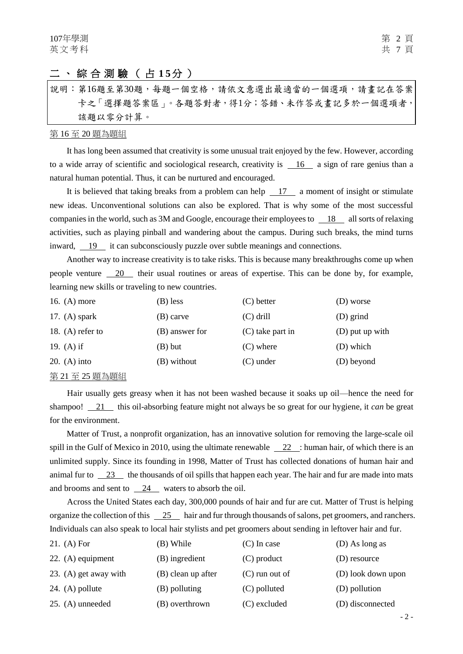# 二、綜合測驗(占15分)

說明︰第16題至第30題,每題一個空格,請依文意選出最適當的一個選項,請畫記在答案 卡之「選擇題答案區」。各題答對者,得1分;答錯、未作答或畫記多於一個選項者, 該題以零分計算。

#### 第 16 至 20 題為題組

It has long been assumed that creativity is some unusual trait enjoyed by the few. However, according to a wide array of scientific and sociological research, creativity is  $\frac{16}{16}$  a sign of rare genius than a natural human potential. Thus, it can be nurtured and encouraged.

It is believed that taking breaks from a problem can help 17 a moment of insight or stimulate new ideas. Unconventional solutions can also be explored. That is why some of the most successful companies in the world, such as 3M and Google, encourage their employees to 18 all sorts of relaxing activities, such as playing pinball and wandering about the campus. During such breaks, the mind turns inward, 19 it can subconsciously puzzle over subtle meanings and connections.

Another way to increase creativity is to take risks. This is because many breakthroughs come up when people venture  $\frac{20}{10}$  their usual routines or areas of expertise. This can be done by, for example, learning new skills or traveling to new countries.

| 16. $(A)$ more                                                                             | (B) less       | $(C)$ better       | (D) worse       |
|--------------------------------------------------------------------------------------------|----------------|--------------------|-----------------|
| 17. $(A)$ spark                                                                            | (B) carve      | $(C)$ drill        | (D) grind       |
| 18. (A) refer to                                                                           | (B) answer for | $(C)$ take part in | (D) put up with |
| 19. (A) if                                                                                 | $(B)$ but      | $(C)$ where        | (D) which       |
| 20. (A) into                                                                               | (B) without    | $(C)$ under        | (D) beyond      |
| $k$ $\sim$ $\sim$ $\sim$ $\sim$ $\approx$ $\sim$ $\sim$ $\sim$ $\sim$ $\sim$ $\sim$ $\sim$ |                |                    |                 |

#### 第 21 至 25 題為題組

Hair usually gets greasy when it has not been washed because it soaks up oil—hence the need for shampoo! 21 this oil-absorbing feature might not always be so great for our hygiene, it *can* be great for the environment.

Matter of Trust, a nonprofit organization, has an innovative solution for removing the large-scale oil spill in the Gulf of Mexico in 2010, using the ultimate renewable  $\frac{22}{\cdot}$ : human hair, of which there is an unlimited supply. Since its founding in 1998, Matter of Trust has collected donations of human hair and animal fur to 23 the thousands of oil spills that happen each year. The hair and fur are made into mats and brooms and sent to  $\frac{24}{12}$  waters to absorb the oil.

Across the United States each day, 300,000 pounds of hair and fur are cut. Matter of Trust is helping organize the collection of this 25 hair and fur through thousands of salons, pet groomers, and ranchers. Individuals can also speak to local hair stylists and pet groomers about sending in leftover hair and fur.

| 21. (A) For           | (B) While          | $(C)$ In case    | (D) As long as     |
|-----------------------|--------------------|------------------|--------------------|
| 22. $(A)$ equipment   | (B) ingredient     | $(C)$ product    | (D) resource       |
| 23. (A) get away with | (B) clean up after | $(C)$ run out of | (D) look down upon |
| 24. $(A)$ pollute     | (B) polluting      | (C) polluted     | (D) pollution      |
| $25. (A)$ unneeded    | (B) overthrown     | (C) excluded     | (D) disconnected   |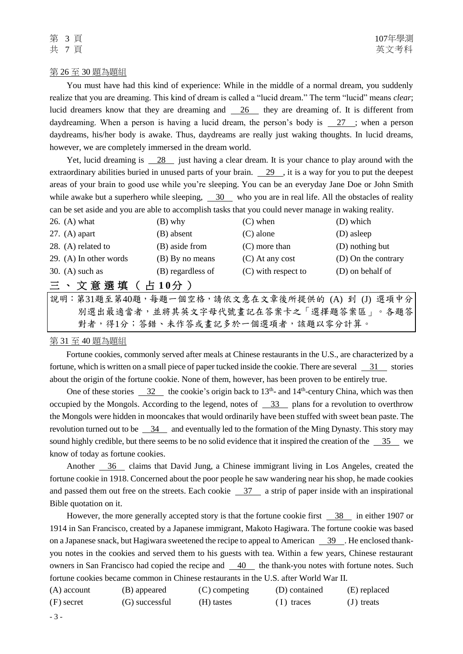#### 第 26 至 30 題為題組

You must have had this kind of experience: While in the middle of a normal dream, you suddenly realize that you are dreaming. This kind of dream is called a "lucid dream." The term "lucid" means *clear*; lucid dreamers know that they are dreaming and 26 they are dreaming of. It is different from daydreaming. When a person is having a lucid dream, the person's body is  $\frac{27}{15}$ ; when a person daydreams, his/her body is awake. Thus, daydreams are really just waking thoughts. In lucid dreams, however, we are completely immersed in the dream world.

Yet, lucid dreaming is  $\frac{28}{100}$  just having a clear dream. It is your chance to play around with the extraordinary abilities buried in unused parts of your brain.  $29$ , it is a way for you to put the deepest areas of your brain to good use while you're sleeping. You can be an everyday Jane Doe or John Smith while awake but a superhero while sleeping,  $\frac{30}{100}$  who you are in real life. All the obstacles of reality can be set aside and you are able to accomplish tasks that you could never manage in waking reality.

| 26. $(A)$ what         | (B) why           | $(C)$ when            | (D) which           |
|------------------------|-------------------|-----------------------|---------------------|
| 27. $(A)$ apart        | (B) absent        | $(C)$ alone           | (D) asleep          |
| 28. (A) related to     | (B) aside from    | $(C)$ more than       | (D) nothing but     |
| 29. (A) In other words | (B) By no means   | $(C)$ At any cost     | (D) On the contrary |
| 30. $(A)$ such as      | (B) regardless of | $(C)$ with respect to | (D) on behalf of    |
| 三、文意選填(占10分)           |                   |                       |                     |

說明:第31題至第40題,每題一個空格,請依文意在文章後所提供的 (A) 到 (J) 選項中分 別選出最適當者,並將其英文字母代號畫記在答案卡之「選擇題答案區」。各題答 對者,得1分;答錯、未作答或畫記多於一個選項者,該題以零分計算。

### 第 31 至 40 題為題組

Fortune cookies, commonly served after meals at Chinese restaurants in the U.S., are characterized by a fortune, which is written on a small piece of paper tucked inside the cookie. There are several  $\frac{31}{10}$  stories about the origin of the fortune cookie. None of them, however, has been proven to be entirely true.

One of these stories  $\frac{32}{10}$  the cookie's origin back to 13<sup>th</sup>- and 14<sup>th</sup>-century China, which was then occupied by the Mongols. According to the legend, notes of 33 plans for a revolution to overthrow the Mongols were hidden in mooncakes that would ordinarily have been stuffed with sweet bean paste. The revolution turned out to be 34 and eventually led to the formation of the Ming Dynasty. This story may sound highly credible, but there seems to be no solid evidence that it inspired the creation of the  $\frac{35}{10}$  we know of today as fortune cookies.

Another 36 claims that David Jung, a Chinese immigrant living in Los Angeles, created the fortune cookie in 1918. Concerned about the poor people he saw wandering near his shop, he made cookies and passed them out free on the streets. Each cookie  $\frac{37}{4}$  a strip of paper inside with an inspirational Bible quotation on it.

However, the more generally accepted story is that the fortune cookie first 38 in either 1907 or 1914 in San Francisco, created by a Japanese immigrant, Makoto Hagiwara. The fortune cookie was based on a Japanese snack, but Hagiwara sweetened the recipe to appeal to American 39 . He enclosed thankyou notes in the cookies and served them to his guests with tea. Within a few years, Chinese restaurant owners in San Francisco had copied the recipe and 40 the thank-you notes with fortune notes. Such fortune cookies became common in Chinese restaurants in the U.S. after World War II.

| $(A)$ account | (B) appeared   | $(C)$ competing | (D) contained | (E) replaced |
|---------------|----------------|-----------------|---------------|--------------|
| $(F)$ secret  | (G) successful | (H) tastes      | $(1)$ traces  | $J$ treats   |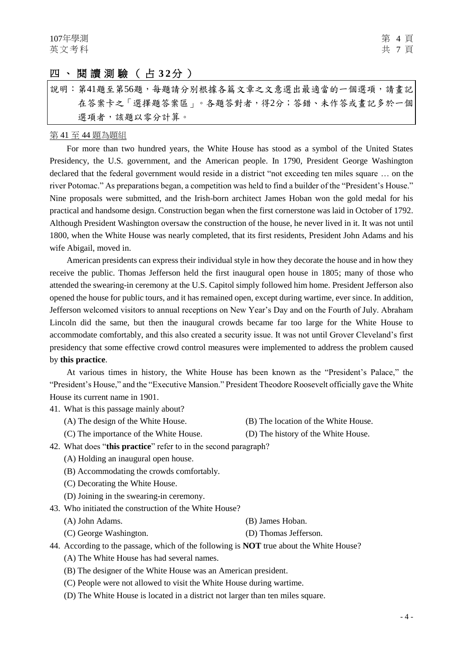## 四、閱讀測驗 ( 占 **3 2**分 )

說明︰第41題至第56題,每題請分別根據各篇文章之文意選出最適當的一個選項,請畫記 在答案卡之「選擇題答案區」。各題答對者,得2分;答錯、未作答或畫記多於一個 選項者,該題以零分計算。

#### 第 41 至 44 題為題組

For more than two hundred years, the White House has stood as a symbol of the United States Presidency, the U.S. government, and the American people. In 1790, President George Washington declared that the federal government would reside in a district "not exceeding ten miles square … on the river Potomac." As preparations began, a competition was held to find a builder of the "President's House." Nine proposals were submitted, and the Irish-born architect James Hoban won the gold medal for his practical and handsome design. Construction began when the first cornerstone was laid in October of 1792. Although President Washington oversaw the construction of the house, he never lived in it. It was not until 1800, when the White House was nearly completed, that its first residents, President John Adams and his wife Abigail, moved in.

American presidents can express their individual style in how they decorate the house and in how they receive the public. Thomas Jefferson held the first inaugural open house in 1805; many of those who attended the swearing-in ceremony at the U.S. Capitol simply followed him home. President Jefferson also opened the house for public tours, and it has remained open, except during wartime, ever since. In addition, Jefferson welcomed visitors to annual receptions on New Year's Day and on the Fourth of July. Abraham Lincoln did the same, but then the inaugural crowds became far too large for the White House to accommodate comfortably, and this also created a security issue. It was not until Grover Cleveland's first presidency that some effective crowd control measures were implemented to address the problem caused by **this practice**.

At various times in history, the White House has been known as the "President's Palace," the "President's House," and the "Executive Mansion." President Theodore Roosevelt officially gave the White House its current name in 1901.

41. What is this passage mainly about?

- (A) The design of the White House. (B) The location of the White House.
	-
- (C) The importance of the White House. (D) The history of the White House.
- 42. What does "**this practice**" refer to in the second paragraph?
	- (A) Holding an inaugural open house.
	- (B) Accommodating the crowds comfortably.
	- (C) Decorating the White House.
	- (D) Joining in the swearing-in ceremony.
- 43. Who initiated the construction of the White House?
	- (A) John Adams. (B) James Hoban.
	- (C) George Washington. (D) Thomas Jefferson.
- 44. According to the passage, which of the following is **NOT** true about the White House?
	- (A) The White House has had several names.
	- (B) The designer of the White House was an American president.
	- (C) People were not allowed to visit the White House during wartime.
	- (D) The White House is located in a district not larger than ten miles square.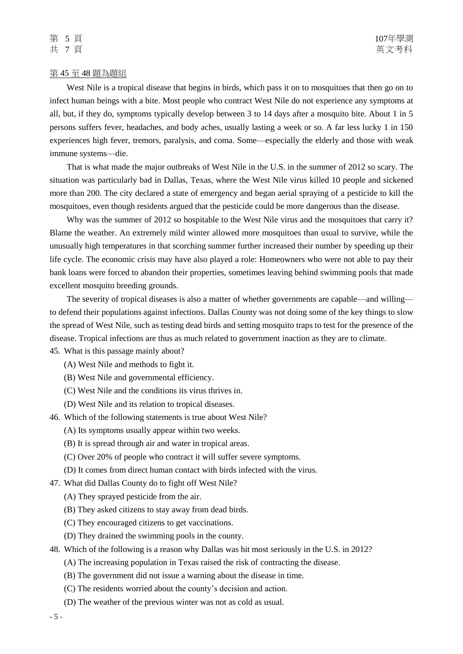#### 第 45 至 48 題為題組

West Nile is a tropical disease that begins in birds, which pass it on to mosquitoes that then go on to infect human beings with a bite. Most people who contract West Nile do not experience any symptoms at all, but, if they do, symptoms typically develop between 3 to 14 days after a mosquito bite. About 1 in 5 persons suffers fever, headaches, and body aches, usually lasting a week or so. A far less lucky 1 in 150 experiences high fever, tremors, paralysis, and coma. Some—especially the elderly and those with weak immune systems—die.

That is what made the major outbreaks of West Nile in the U.S. in the summer of 2012 so scary. The situation was particularly bad in Dallas, Texas, where the West Nile virus killed 10 people and sickened more than 200. The city declared a state of emergency and began aerial spraying of a pesticide to kill the mosquitoes, even though residents argued that the pesticide could be more dangerous than the disease.

Why was the summer of 2012 so hospitable to the West Nile virus and the mosquitoes that carry it? Blame the weather. An extremely mild winter allowed more mosquitoes than usual to survive, while the unusually high temperatures in that scorching summer further increased their number by speeding up their life cycle. The economic crisis may have also played a role: Homeowners who were not able to pay their bank loans were forced to abandon their properties, sometimes leaving behind swimming pools that made excellent mosquito breeding grounds.

The severity of tropical diseases is also a matter of whether governments are capable—and willing to defend their populations against infections. Dallas County was not doing some of the key things to slow the spread of West Nile, such as testing dead birds and setting mosquito traps to test for the presence of the disease. Tropical infections are thus as much related to government inaction as they are to climate.

45. What is this passage mainly about?

- (A) West Nile and methods to fight it.
- (B) West Nile and governmental efficiency.
- (C) West Nile and the conditions its virus thrives in.
- (D) West Nile and its relation to tropical diseases.
- 46. Which of the following statements is true about West Nile?
	- (A) Its symptoms usually appear within two weeks.
	- (B) It is spread through air and water in tropical areas.
	- (C) Over 20% of people who contract it will suffer severe symptoms.
	- (D) It comes from direct human contact with birds infected with the virus.
- 47. What did Dallas County do to fight off West Nile?
	- (A) They sprayed pesticide from the air.
	- (B) They asked citizens to stay away from dead birds.
	- (C) They encouraged citizens to get vaccinations.
	- (D) They drained the swimming pools in the county.
- 48. Which of the following is a reason why Dallas was hit most seriously in the U.S. in 2012?
	- (A) The increasing population in Texas raised the risk of contracting the disease.
	- (B) The government did not issue a warning about the disease in time.
	- (C) The residents worried about the county's decision and action.
	- (D) The weather of the previous winter was not as cold as usual.

- 5 -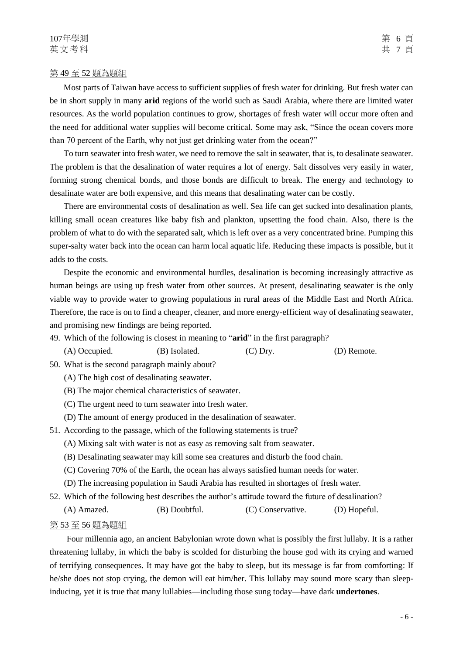#### 第 49 至 52 題為題組

Most parts of Taiwan have access to sufficient supplies of fresh water for drinking. But fresh water can be in short supply in many **arid** regions of the world such as Saudi Arabia, where there are limited water resources. As the world population continues to grow, shortages of fresh water will occur more often and the need for additional water supplies will become critical. Some may ask, "Since the ocean covers more than 70 percent of the Earth, why not just get drinking water from the ocean?"

To turn seawater into fresh water, we need to remove the salt in seawater, that is, to desalinate seawater. The problem is that the desalination of water requires a lot of energy. Salt dissolves very easily in water, forming strong chemical bonds, and those bonds are difficult to break. The energy and technology to desalinate water are both expensive, and this means that desalinating water can be costly.

There are environmental costs of desalination as well. Sea life can get sucked into desalination plants, killing small ocean creatures like baby fish and plankton, upsetting the food chain. Also, there is the problem of what to do with the separated salt, which is left over as a very concentrated brine. Pumping this super-salty water back into the ocean can harm local aquatic life. Reducing these impacts is possible, but it adds to the costs.

Despite the economic and environmental hurdles, desalination is becoming increasingly attractive as human beings are using up fresh water from other sources. At present, desalinating seawater is the only viable way to provide water to growing populations in rural areas of the Middle East and North Africa. Therefore, the race is on to find a cheaper, cleaner, and more energy-efficient way of desalinating seawater, and promising new findings are being reported.

49. Which of the following is closest in meaning to "**arid**" in the first paragraph?

(A) Occupied. (B) Isolated. (C) Dry. (D) Remote.

50. What is the second paragraph mainly about?

- (A) The high cost of desalinating seawater.
- (B) The major chemical characteristics of seawater.
- (C) The urgent need to turn seawater into fresh water.
- (D) The amount of energy produced in the desalination of seawater.
- 51. According to the passage, which of the following statements is true?
	- (A) Mixing salt with water is not as easy as removing salt from seawater.
	- (B) Desalinating seawater may kill some sea creatures and disturb the food chain.
	- (C) Covering 70% of the Earth, the ocean has always satisfied human needs for water.
	- (D) The increasing population in Saudi Arabia has resulted in shortages of fresh water.
- 52. Which of the following best describes the author's attitude toward the future of desalination?

(A) Amazed. (B) Doubtful. (C) Conservative. (D) Hopeful.

#### 第 53 至 56 題為題組

Four millennia ago, an ancient Babylonian wrote down what is possibly the first lullaby. It is a rather threatening lullaby, in which the baby is scolded for disturbing the house god with its crying and warned of terrifying consequences. It may have got the baby to sleep, but its message is far from comforting: If he/she does not stop crying, the demon will eat him/her. This lullaby may sound more scary than sleepinducing, yet it is true that many lullabies—including those sung today—have dark **undertones**.